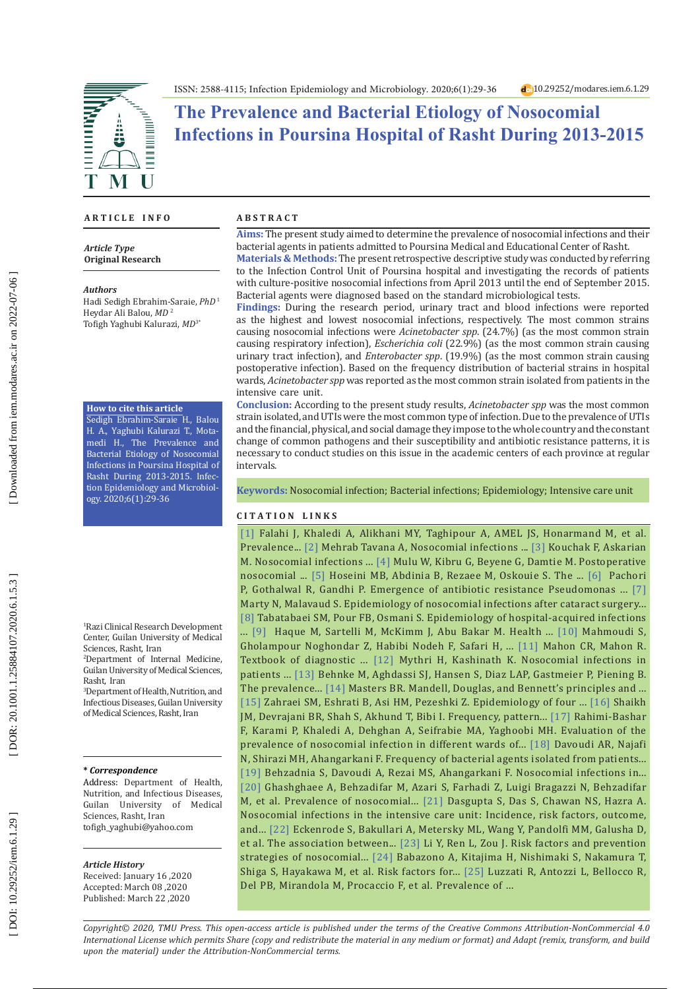

# **The Prevalence and Bacterial Etiology of Nosocomial Infections in Poursina Hospital of Rasht During 2013-2015**

### **A R T I C L E I N F O**

*Article Type* **Original Research**

#### *Authors*

Hadi Sedigh Ebrahim-Saraie, *PhD*<sup>1</sup> [Heydar Ali Balou,](https://orcid.org/0000-0001-8339-5199) *MD* 2 [Tofigh Yaghubi](https://orcid.org/0000-0001-8339-5199) Kalurazi, *MD*3\*

### **How to cite this article**

Sedigh Ebrahim-Saraie H., Balou H. A., Yaghubi Kalurazi T., Mota medi H., The Prevalence and Bacterial Etiology of Nosocomial Infections in Poursina Hospital of Rasht During 2013-2015. Infec tion Epidemiology and Microbiol ogy. 2020;6(1):29-36

1 Razi Clinical Research Development Center, Guilan University of Medical Sciences, Rasht, Iran

2 Department of Internal Medicine, Guilan University of Medical Sciences, Rasht, Iran

3 [Department of Health, Nutrition, and](https://www.researchgate.net/institution/Guilan_University_of_Medical_Sciences/department/Department_of_Health_Nutrition_and_Infectious_Diseases) [Infectious Diseases](https://www.researchgate.net/institution/Guilan_University_of_Medical_Sciences/department/Department_of_Health_Nutrition_and_Infectious_Diseases), Guilan University of Medical Sciences, Rasht, Iran

#### **\*** *Correspondence*

Address: [Department of Health,](https://www.researchgate.net/institution/Guilan_University_of_Medical_Sciences/department/Department_of_Health_Nutrition_and_Infectious_Diseases) [Nutrition, and Infectious Diseases,](https://www.researchgate.net/institution/Guilan_University_of_Medical_Sciences/department/Department_of_Health_Nutrition_and_Infectious_Diseases) Guilan University of Medical Sciences, Rasht, Iran tofigh\_yaghubi@yahoo.com

#### *Article History*

Received: January 16 ,2020 Accepted: March 08 ,2020 Published: March 22 ,2020

#### **A B S T R A C T**

**Aims:** The present study aimed to determine the prevalence of nosocomial infections and their bacterial agents in patients admitted to Poursina Medical and Educational Center of Rasht.

**Materials & Methods:** The present retrospective descriptive study was conducted by referring to the Infection Control Unit of Poursina hospital and investigating the records of patients with culture-positive nosocomial infections from April 2013 until the end of September 2015. Bacterial agents were diagnosed based on the standard microbiological tests .

**Findings:** During the research period, urinary tract and blood infections were reported as the highest and lowest nosocomial infections, respectively. The most common strains causing nosocomial infections were *Acinetobacter spp*. (24.7%) (as the most common strain causing respiratory infection), *Escherichia coli* (22.9%) (as the most common strain causing urinary tract infection), and *Enterobacter spp*. (19.9%) (as the most common strain causing postoperative infection). Based on the frequency distribution of bacterial strains in hospital wards, *Acinetobacter spp* was reported as the most common strain isolated from patients in the intensive care unit.

**Conclusion:** According to the present study results, *Acinetobacter spp* was the most common strain isolated, and UTIs were the most common type of infection. Due to the prevalence of UTIs and the financial, physical, and social damage they impose to the whole country and the constant change of common pathogens and their susceptibility and antibiotic resistance patterns, it is necessary to conduct studies on this issue in the academic centers of each province at regular intervals .

**Keywords:** Nosocomial infection; Bacterial infections; Epidemiology; Intensive care unit

### **C I T A T I O N L I N K S**

[1] Falahi J, Khaledi A, Alikhani MY, Taghipour A, AMEL JS, Honarmand M, et al. Prevalence... [\[2\]](http://hakim.hbi.ir/article-1-1690-fa.html) Mehrab Tavana A, Nosocomial infections ... [\[3\]](https://www.ncbi.nlm.nih.gov/pmc/articles/PMC3470069/) Kouchak F, Askarian M. Nosocomial infections ... [\[4\]](https://www.ajol.info/index.php/ejhs/article/view/77672) Mulu W, Kibru G, Beyene G, Damtie M. Postoperative nosocomial ... [\[5\]](http://dspace.tbzmed.ac.ir:8080/xmlui/handle/123456789/58518) Hoseini MB, Abdinia B, Rezaee M, Oskouie S. The ... [\[6\]](https://www.ncbi.nlm.nih.gov/pmc/articles/PMC6545445/) Pachori P, Gothalwal R, Gandhi P. Emergence of antibiotic resistance Pseudomonas ... [\[7\]](https://europepmc.org/article/med/12412186) Marty N, Malavaud S. Epidemiology of nosocomial infections after cataract surgery... [\[8\]](https://www.researchgate.net/profile/Fateme_Behmanesh_Pour/publication/282393249_Epidemiology_of_Hospital-Acquired_Infections_and_Related_Anti-Microbial_Resistance_Patterns_in_a_Tertiary-Care_Teaching_Hospital_in_Zahedan_Southeast_Iran/links/5dc116ea92851\
c81802ce187/Epidemiology-of-Hospital-Acquired-Infections-and-Related-Anti-Microbial-Resistance-Patterns-in-a-Tertiary-Care-Teaching-Hospital-in-Zahedan-Southeast-Iran.pdf) Tabatabaei SM, Pour FB, Osmani S. Epidemiology of hospital-acquired infections ... [\[9\]](https://pubmed.ncbi.nlm.nih.gov/30532565/) Haque M, Sartelli M, McKimm J, Abu Bakar M. Health ... [\[10\]](http://jhosp.tums.ac.ir/browse.php?a_id=5694&sid=1&slc_lang=en) Mahmoudi S, Gholampour Noghondar Z, Habibi Nodeh F, Safari H, ... [\[11\]](https://books.google.com/books?hl=en&lr=&id=uGRgDwAAQBAJ&oi=fnd&pg=PP1&dq=Mahon+CR,+Mahon+R.+Textbook+of+diagnostic+microbiology:+Content+technologies.+Inc%3B+2015.&ots=N_b4CEnFMo&sig=jCBZggUtOAMF9sdJXOtdv2MX6S0#v=onepage&q&f=false) Mahon CR, Mahon R. Textbook of diagnostic ... [\[12\]](https://www.ajol.info/index.php/amhsr/article/view/112468) Mythri H, Kashinath K. Nosocomial infections in patients ... [\[13\]](https://www.ncbi.nlm.nih.gov/pmc/articles/PMC5762998/) Behnke M, Aghdassi SJ, Hansen S, Diaz LAP, Gastmeier P, Piening B. The prevalence... [\[14\]](https://link.springer.com/article/10.1007/s00417-015-2950-1) Masters BR. Mandell, Douglas, and Bennett's principles and ... [\[15\]](https://web.a.ebscohost.com/abstract?direct=true&profile=ehost&scope=site&authtype=crawler&jrnl=10292977&asa=Y&AN=84999824&h=1avy805OoaFLaw6gZ8RVGjTl6B1h%2bgP8K66hnxRw0I93IVuQ0UFs9zTH1ou3gT8NMSjBqDx2%2bNudrf8CSzeRRQ%3d%3d&crl=c&resultNs=AdminWebAuth&resul\
tLocal=ErrCrlNotAuth&crlhashurl=login.aspx%3fdirect%3dtrue%26profile%3dehost%26scope%3dsite%26authtype%3dcrawler%26jrnl%3d10292977%26asa%3dY%26AN%3d84999824) Zahraei SM, Eshrati B, Asi HM, Pezeshki Z. Epidemiology of four ... [\[16\]](http://ayubmed.edu.pk/JAMC/PAST/20-4/Jan.pdf) Shaikh JM, Devrajani BR, Shah S, Akhund T, Bibi I. Frequency, pattern... [\[17\]](https://scholar.google.com/scholar?hl=en&as_sdt=0%2C5&q=Rahimi-Bashar+F%2C+Karami+P%2C+Khaledi+A%2C+Dehghan+A%2C+Seifrabie+MA%2C+Yaghoobi+MH.+Evaluation+of+the+prevalence+of+nosocomial+infection+in+different+wards+of+Be%E2%80%99sat+hospital+of+Hamedan.+Av\
icenna+J+Clin+Microbiol+Infect.+2018%3B+5%282%29%3A31-5.&btnG=) Rahimi-Bashar F, Karami P, Khaledi A, Dehghan A, Seifrabie MA, Yaghoobi MH. Evaluation of the prevalence of nosocomial infection in different wards of... [\[18\]](https://www.ncbi.nlm.nih.gov/pmc/articles/PMC4247487/) Davoudi AR, Najafi N, Shirazi MH, Ahangarkani F. Frequency of bacterial agents isolated from patients... [\[19\]](https://www.ncbi.nlm.nih.gov/pmc/articles/PMC3965877/) Behzadnia S, Davoudi A, Rezai MS, Ahangarkani F. Nosocomial infections in... [\[20\]](https://www.ncbi.nlm.nih.gov/pmc/articles/PMC6108288/) Ghashghaee A, Behzadifar M, Azari S, Farhadi Z, Luigi Bragazzi N, Behzadifar M, et al. Prevalence of nosocomial... [\[21\]](https://www.ncbi.nlm.nih.gov/pmc/articles/PMC4296405/) Dasgupta S, Das S, Chawan NS, Hazra A. Nosocomial infections in the intensive care unit: Incidence, risk factors, outcome, and... [\[22\]](https://www.cambridge.org/core/journals/infection-control-and-hospital-epidemiology/article/association-between-age-sex-and-hospitalacquired-infection-rates-results-from-the-20092011-national-medicare-patient-safety-monitoring-system/E3D29ED1D4D3C1FEBE219\
2EBA5C2DE4F) Eckenrode S, Bakullari A, Metersky ML, Wang Y, Pandolfi MM, Galusha D, et al. The association between... [\[23\]](https://www.hindawi.com/journals/cjidmm/2019/6417959/) Li Y, Ren L, Zou J. Risk factors and prevention strategies of nosocomial... [\[24\]](http://ousar.lib.okayama-u.ac.jp/en/30938) Babazono A, Kitajima H, Nishimaki S, Nakamura T, Shiga S, Hayakawa M, et al. Risk factors for... [\[25\]](https://europepmc.org/article/med/11731755) Luzzati R, Antozzi L, Bellocco R, Del PB, Mirandola M, Procaccio F, et al. Prevalence of ...

*Copyright© 2020, TMU Press. This open-access article is published under the terms of the Creative Commons Attribution-NonCommercial 4.0 International License which permits Share (copy and redistribute the material in any medium or format) and Adapt (remix, transform, and build upon the material) under the Attribution-NonCommercial terms.*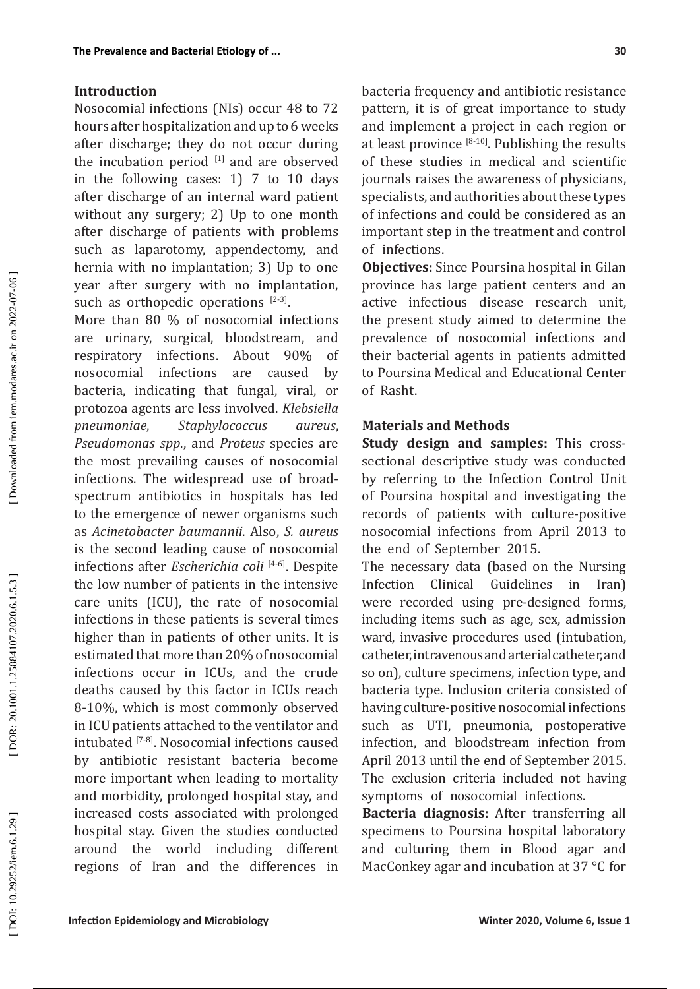## **Introduction**

Nosocomial infections (NIs) occur 48 to 72 hours after hospitalization and up to 6 weeks after discharge; they do not occur during the incubation period  $[1]$  and are observed in the following cases: 1) 7 to 10 days after discharge of an internal ward patient without any surgery; 2) Up to one month after discharge of patients with problems such as laparotomy, appendectomy, and hernia with no implantation; 3) Up to one year after surgery with no implantation, such as orthopedic operations  $[2-3]$ .

More than 80 % of nosocomial infections are urinary, surgical, bloodstream, and respiratory infections. About 90% of nosocomial infections are caused by bacteria, indicating that fungal, viral, or protozoa agents are less involved. *Klebsiella pneumoniae*, *Staphylococcus aureus*, *Pseudomonas spp*., and *Proteus* species are the most prevailing causes of nosocomial infections. The widespread use of broadspectrum antibiotics in hospitals has led to the emergence of newer organisms such as *Acinetobacter baumannii*. Also, *S. aureus* is the second leading cause of nosocomial infections after *Escherichia coli* [4-6 ] . Despite the low number of patients in the intensive care units (ICU), the rate of nosocomial infections in these patients is several times higher than in patients of other units. It is estimated that more than 20% of nosocomial infections occur in ICUs, and the crude deaths caused by this factor in ICUs reach 8-10%, which is most commonly observed in ICU patients attached to the ventilator and intubated [ 7 - 8 ] . Nosocomial infections caused by antibiotic resistant bacteria become more important when leading to mortality and morbidity, prolonged hospital stay, and increased costs associated with prolonged hospital stay. Given the studies conducted around the world including different regions of Iran and the differences in

bacteria frequency and antibiotic resistance pattern, it is of great importance to study and implement a project in each region or at least province  $[8-10]$ . Publishing the results of these studies in medical and scientific journals raises the awareness of physicians, specialists, and authorities about these types of infections and could be considered as an important step in the treatment and control of infections.

**Objectives:** Since Poursina hospital in Gilan province has large patient centers and an active infectious disease research unit, the present study aimed to determine the prevalence of nosocomial infections and their bacterial agents in patients admitted to Poursina Medical and Educational Center of Rasht.

### **Materials and Methods**

**Study design and samples:** This crosssectional descriptive study was conducted by referring to the Infection Control Unit of Poursina hospital and investigating the records of patients with culture-positive nosocomial infections from April 2013 to the end of September 2015.

The necessary data (based on the Nursing<br>Infection Clinical Guidelines in Iran) Guidelines in Iran) were recorded using pre-designed forms, including items such as age, sex, admission ward, invasive procedures used (intubation, catheter, intravenous and arterial catheter, and so on), culture specimens, infection type, and bacteria type. Inclusion criteria consisted of having culture-positive nosocomial infections such as UTI, pneumonia, postoperative infection, and bloodstream infection from April 2013 until the end of September 2015. The exclusion criteria included not having symptoms of nosocomial infections.

**Bacteria diagnosis:** After transferring all specimens to Poursina hospital laboratory and culturing them in Blood agar and MacConkey agar and incubation at 37 °C for

DOI: 10.29252/iem.6.1.29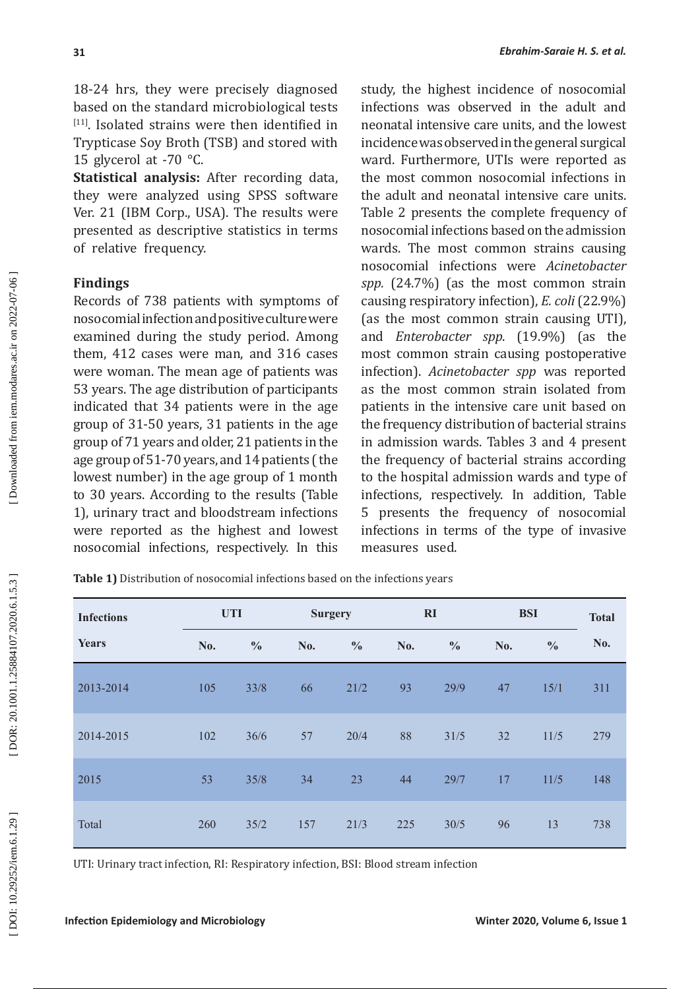18-24 hrs, they were precisely diagnosed<br>based on the standard microbiological tests based on the standard microbiological tests<br><sup>[11]</sup>. Isolated strains were then identified in Trypticase Soy Broth (TSB) and stored with 15 glycerol at  $-70$  °C.

**Statistical analysis:** After recording data, they were analyzed using SPSS software Ver. 21 (IBM Corp., USA). The results were presented as descriptive statistics in terms of relative frequency.

# **Findings**

**31**

Records of 738 patients with symptoms of nosocomial infection and positive culture were examined during the study period. Among them, 412 cases were man, and 316 cases were woman. The mean age of patients was 53 years. The age distribution of participants indicated that 34 patients were in the age group of 31-50 years, 31 patients in the age group of 71 years and older, 21 patients in the age group of 51-70 years, and 14 patients (the lowest number) in the age group of 1 month to 30 years. According to the results (Table 1), urinary tract and bloodstream infections were reported as the highest and lowest nosocomial infections, respectively. In this study, the highest incidence of nosocomial infections was observed in the adult and neonatal intensive care units, and the lowest incidence was observed in the general surgical ward. Furthermore, UTIs were reported as the most common nosocomial infections in the adult and neonatal intensive care units. Table 2 presents the complete frequency of nosocomial infections based on the admission wards. The most common strains causing nosocomial infections were *Acinetobacter spp.* (24.7%) (as the most common strain causing respiratory infection), *E. coli* (22.9%) (as the most common strain causing UTI), and *Enterobacter spp*. (19.9%) (as the most common strain causing postoperative infection). *Acinetobacter spp* was reported as the most common strain isolated from patients in the intensive care unit based on the frequency distribution of bacterial strains in admission wards. Tables 3 and 4 present the frequency of bacterial strains according to the hospital admission wards and type of infections, respectively. In addition, Table 5 presents the frequency of nosocomial infections in terms of the type of invasive measures used.

| <b>Infections</b> |     | <b>UTI</b>    |     | <b>Surgery</b> |     | RI            |     | <b>BSI</b>    |     |
|-------------------|-----|---------------|-----|----------------|-----|---------------|-----|---------------|-----|
| <b>Years</b>      | No. | $\frac{0}{0}$ | No. | $\frac{0}{0}$  | No. | $\frac{0}{0}$ | No. | $\frac{0}{0}$ | No. |
| 2013-2014         | 105 | 33/8          | 66  | 21/2           | 93  | 29/9          | 47  | 15/1          | 311 |
| 2014-2015         | 102 | 36/6          | 57  | 20/4           | 88  | 31/5          | 32  | 11/5          | 279 |
| 2015              | 53  | 35/8          | 34  | 23             | 44  | 29/7          | 17  | 11/5          | 148 |
| Total             | 260 | 35/2          | 157 | 21/3           | 225 | 30/5          | 96  | 13            | 738 |

**Table 1)** Distribution of nosocomial infections based on the infections years

UTI: Urinary tract infection, RI: Respiratory infection, BSI: Blood stream infection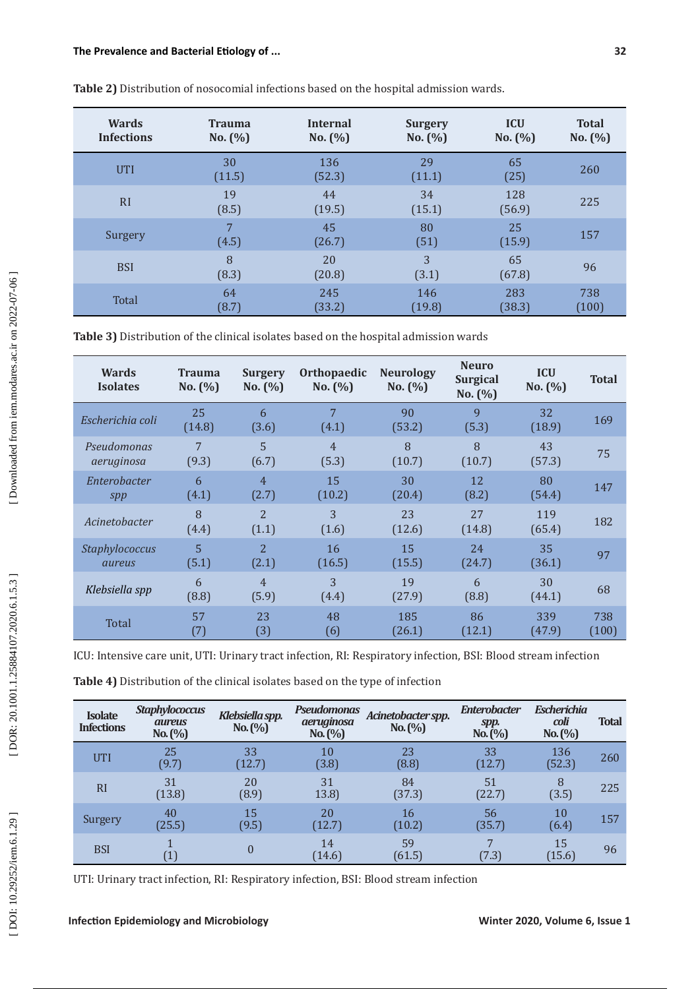| <b>Wards</b><br><b>Infections</b> | <b>Trauma</b><br>No. (%) | <b>Internal</b><br>No. $(%)$ | <b>Surgery</b><br>No. $(\% )$ | <b>ICU</b><br>No. (%) | <b>Total</b><br>No. $(\% )$ |
|-----------------------------------|--------------------------|------------------------------|-------------------------------|-----------------------|-----------------------------|
| <b>UTI</b>                        | 30<br>(11.5)             | 136<br>(52.3)                | 29<br>(11.1)                  | 65<br>(25)            | 260                         |
| RI                                | 19<br>(8.5)              | 44<br>(19.5)                 | 34<br>(15.1)                  | 128<br>(56.9)         | 225                         |
| Surgery                           | 7<br>(4.5)               | 45<br>(26.7)                 | 80<br>(51)                    | 25<br>(15.9)          | 157                         |
| <b>BSI</b>                        | 8<br>(8.3)               | 20<br>(20.8)                 | 3<br>(3.1)                    | 65<br>(67.8)          | 96                          |
| Total                             | 64<br>(8.7)              | 245<br>(33.2)                | 146<br>(19.8)                 | 283<br>(38.3)         | 738<br>(100)                |

**Table 2)** Distribution of nosocomial infections based on the hospital admission wards.

**Table 3)** Distribution of the clinical isolates based on the hospital admission wards

| <b>Wards</b><br><b>Isolates</b> | <b>Trauma</b><br>No. (%) | <b>Surgery</b><br>No. (%) | <b>Orthopaedic</b><br>No. (%) | <b>Neurology</b><br>No. (%) | <b>Neuro</b><br><b>Surgical</b><br>No. $(%)$ | <b>ICU</b><br>No. (%) | <b>Total</b> |
|---------------------------------|--------------------------|---------------------------|-------------------------------|-----------------------------|----------------------------------------------|-----------------------|--------------|
| Escherichia coli                | 25<br>(14.8)             | 6<br>(3.6)                | 7<br>(4.1)                    | 90<br>(53.2)                | $\mathbf{q}$<br>(5.3)                        | 32<br>(18.9)          | 169          |
| Pseudomonas                     | 7                        | 5                         | $\overline{4}$                | 8                           | 8                                            | 43                    | 75           |
| aeruginosa                      | (9.3)                    | (6.7)                     | (5.3)                         | (10.7)                      | (10.7)                                       | (57.3)                |              |
| Enterobacter                    | 6                        | $\overline{4}$            | 15                            | 30                          | 12                                           | 80                    | 147          |
| spp                             | (4.1)                    | (2.7)                     | (10.2)                        | (20.4)                      | (8.2)                                        | (54.4)                |              |
| Acinetobacter                   | 8<br>(4.4)               | $\overline{2}$<br>(1.1)   | 3<br>(1.6)                    | 23<br>(12.6)                | 2.7<br>(14.8)                                | 119<br>(65.4)         | 182          |
| <b>Staphylococcus</b>           | 5                        | $\overline{2}$            | 16                            | 15                          | 24                                           | 35                    | 97           |
| aureus                          | (5.1)                    | (2.1)                     | (16.5)                        | (15.5)                      | (24.7)                                       | (36.1)                |              |
| Klebsiella spp                  | 6<br>(8.8)               | $\overline{4}$<br>(5.9)   | 3<br>(4.4)                    | 19<br>(27.9)                | 6<br>(8.8)                                   | 30<br>(44.1)          | 68           |
| Total                           | 57                       | 23                        | 48                            | 185                         | 86                                           | 339                   | 738          |
|                                 | (7)                      | (3)                       | (6)                           | (26.1)                      | (12.1)                                       | (47.9)                | (100)        |

ICU: Intensive care unit, UTI: Urinary tract infection, RI: Respiratory infection, BSI: Blood stream infection

**Table 4)** Distribution of the clinical isolates based on the type of infection

| <b>Isolate</b><br><b>Infections</b> | <b>Staphylococcus</b><br><b>aureus</b><br>No. (%) | Klebsiella spp.<br>No. (%) | Pseudomonas<br>aeruginosa<br>No. (%) | Acinetobacter spp.<br>No. (%) | <b>Enterobacter</b><br>spp.<br>No. (%) | <b>Escherichia</b><br>coli<br>No. (%) | <b>Total</b> |
|-------------------------------------|---------------------------------------------------|----------------------------|--------------------------------------|-------------------------------|----------------------------------------|---------------------------------------|--------------|
| <b>UTI</b>                          | 25<br>(9.7)                                       | 33<br>(12.7)               | 10<br>(3.8)                          | 23<br>(8.8)                   | 33<br>(12.7)                           | 136<br>(52.3)                         | 260          |
| <b>RI</b>                           | 31<br>(13.8)                                      | 20<br>(8.9)                | 31<br>13.8                           | 84<br>(37.3)                  | 51<br>(22.7)                           | 8<br>(3.5)                            | 225          |
| Surgery                             | 40<br>(25.5)                                      | 15<br>(9.5)                | 20<br>(12.7)                         | 16<br>(10.2)                  | 56<br>(35.7)                           | 10<br>(6.4)                           | 157          |
| <b>BSI</b>                          | $\left[1\right]$                                  | 0                          | 14<br>(14.6)                         | 59<br>(61.5)                  | 7<br>(7.3)                             | 15<br>(15.6)                          | 96           |

UTI: Urinary tract infection, RI: Respiratory infection, BSI: Blood stream infection

[DOI: 10.29252/iem.6.1.29]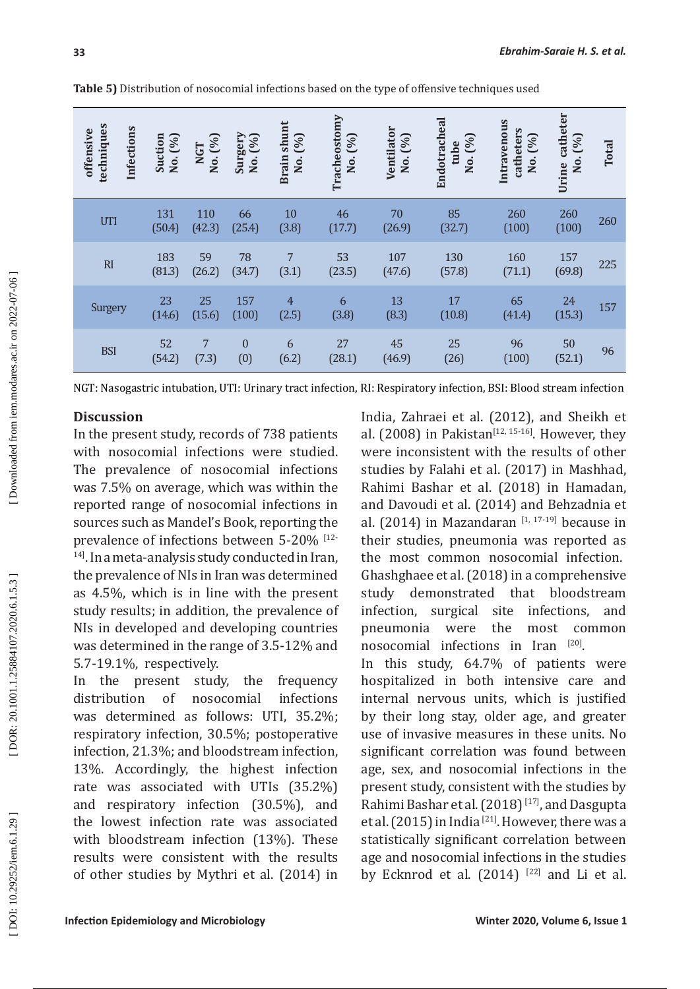| techniques<br>Infections<br>offensive | Suction<br>No. (%) | No. (%)<br><b>NGT</b> | Surgery<br>No. (%)  | <b>Brain shunt</b><br>(%)<br>Χo. | Tracheostomy<br>(96)<br>Χo. | Ventilator<br>No. (%) | Endotracheal<br>(96)<br>tube<br>No. | Intravenous<br>catheters<br>No. (%) | Urine catheter<br>No. (%) | <b>Total</b> |
|---------------------------------------|--------------------|-----------------------|---------------------|----------------------------------|-----------------------------|-----------------------|-------------------------------------|-------------------------------------|---------------------------|--------------|
| UTI                                   | 131<br>(50.4)      | 110<br>(42.3)         | 66<br>(25.4)        | 10<br>(3.8)                      | 46<br>(17.7)                | 70<br>(26.9)          | 85<br>(32.7)                        | 260<br>(100)                        | 260<br>(100)              | 260          |
| RI                                    | 183<br>(81.3)      | 59<br>(26.2)          | 78<br>(34.7)        | 7<br>(3.1)                       | 53<br>(23.5)                | 107<br>(47.6)         | 130<br>(57.8)                       | 160<br>(71.1)                       | 157<br>(69.8)             | 225          |
| Surgery                               | 23<br>(14.6)       | 25<br>(15.6)          | 157<br>(100)        | $\overline{4}$<br>(2.5)          | 6<br>(3.8)                  | 13<br>(8.3)           | 17<br>(10.8)                        | 65<br>(41.4)                        | 24<br>(15.3)              | 157          |
| <b>BSI</b>                            | 52<br>(54.2)       | 7<br>(7.3)            | $\mathbf{0}$<br>(0) | 6<br>(6.2)                       | 27<br>(28.1)                | 45<br>(46.9)          | 25<br>(26)                          | 96<br>(100)                         | 50<br>(52.1)              | 96           |

**Table 5)** Distribution of nosocomial infections based on the type of offensive techniques used

NGT: Nasogastric intubation, UTI: Urinary tract infection, RI: Respiratory infection, BSI: Blood stream infection

# **Discussion**

In the present study, records of 738 patients with nosocomial infections were studied. The prevalence of nosocomial infections was 7.5% on average, which was within the reported range of nosocomial infections in sources such as Mandel's Book, reporting the prevalence of infections between 5-20% [12- 14 ] . In a meta-analysis study conducted in Iran, the prevalence of NIs in Iran was determined as 4.5%, which is in line with the present study results; in addition, the prevalence of NIs in developed and developing countries was determined in the range of 3.5-12% and 5.7-19.1%, respectively.

In the present study, the frequency distribution of nosocomial infections was determined as follows: UTI, 35.2%; respiratory infection, 30.5 %; postoperative infection, 21.3 %; and bloodstream infection, 13 %. Accordingly, the highest infection rate was associated with UTIs (35.2%) and respiratory infection (30.5 %), and the lowest infection rate was associated with bloodstream infection (13 %). These results were consistent with the results of other studies by Mythri et al. (2014) in

India, Zahraei et al. (2012), and Sheikh et al.  $(2008)$  in Pakistan<sup>[12, 15-16]</sup>. However, they were inconsistent with the results of other studies by Falahi et al. (2017) in Mashhad, Rahimi Bashar et al. (2018) in Hamadan, and Davoudi et al. (2014) and Behzadnia et al.  $(2014)$  in Mazandaran  $\frac{11}{17}$ ,  $\frac{17}{191}$  because in their studies, pneumonia was reported as the most common nosocomial infection . Ghashghaee et al. (2018) in a comprehensive study demonstrated that bloodstream infection, surgical site infections, and pneumonia were the most common nosocomial infections in Iran  $[20]$ . In this study, 64.7% of patients were hospitalized in both intensive care and internal nervous units, which is justified by their long stay, older age, and greater use of invasive measures in these units. No significant correlation was found between age, sex, and nosocomial infections in the present study, consistent with the studies by Rahimi Bashar et al. (2018)<sup>[17]</sup>, and Dasgupta et al.  $(2015)$  in India  $^{[21]}$ . However, there was a statistically significant correlation between age and nosocomial infections in the studies by Ecknrod et al.  $(2014)$   $^{[22]}$  and Li et al.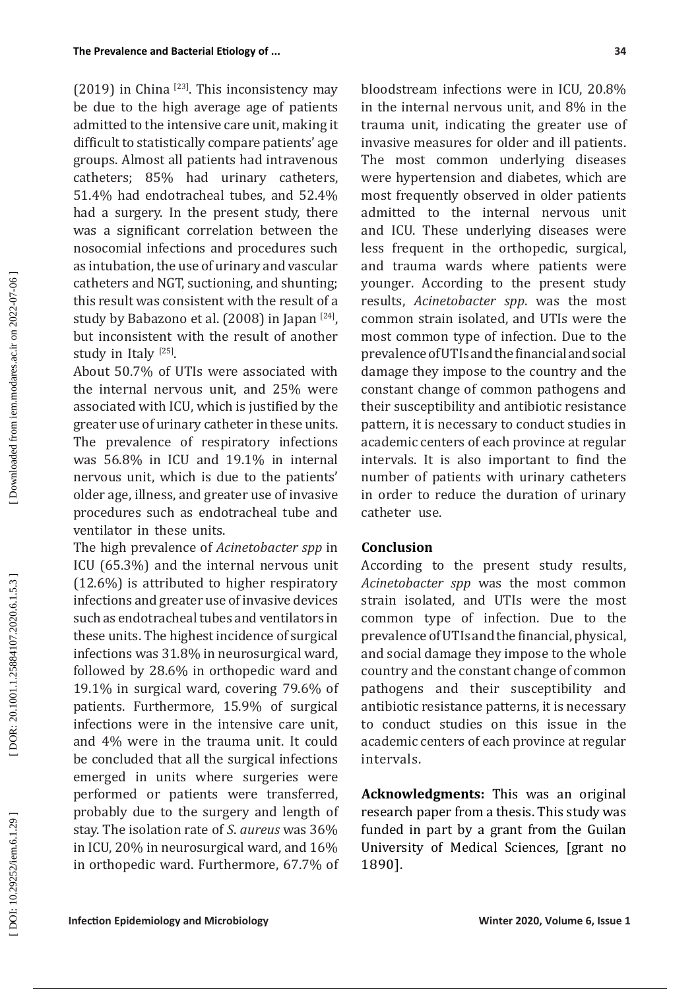$(2019)$  in China  $^{[23]}$ . This inconsistency may be due to the high average age of patients admitted to the intensive care unit, making it difficult to statistically compare patients' age groups. Almost all patients had intravenous catheters; 85% had urinary catheters, 51.4% had endotracheal tubes, and 52.4% had a surgery. In the present study, there was a significant correlation between the nosocomial infections and procedures such as intubation, the use of urinary and vascular catheters and NGT, suctioning, and shunting; this result was consistent with the result of a study by Babazono et al. (2008) in Japan  $[24]$ , but inconsistent with the result of another study in Italy  $^{[25]}$ .

About 50.7% of UTIs were associated with the internal nervous unit, and 25% were associated with ICU, which is justified by the greater use of urinary catheter in these units. The prevalence of respiratory infections was 56.8% in ICU and 19.1% in internal nervous unit, which is due to the patients' older age, illness, and greater use of invasive procedures such as endotracheal tube and ventilator in these units .

The high prevalence of *Acinetobacter spp* in ICU (65.3%) and the internal nervous unit (12.6%) is attributed to higher respiratory infections and greater use of invasive devices such as endotracheal tubes and ventilators in these units. The highest incidence of surgical infections was 31.8% in neurosurgical ward, followed by 28.6% in orthopedic ward and 19.1% in surgical ward, covering 79.6% of patients. Furthermore, 15.9% of surgical infections were in the intensive care unit, and 4% were in the trauma unit. It could be concluded that all the surgical infections emerged in units where surgeries were performed or patients were transferred, probably due to the surgery and length of stay. The isolation rate of *S*. *aureus* was 36% in ICU, 20% in neurosurgical ward, and 16% in orthopedic ward. Furthermore, 67.7% of

bloodstream infections were in ICU, 20.8% in the internal nervous unit, and 8% in the trauma unit, indicating the greater use of invasive measures for older and ill patients . The most common underlying diseases were hypertension and diabetes, which are most frequently observed in older patients admitted to the internal nervous unit and ICU. These underlying diseases were less frequent in the orthopedic, surgical, and trauma wards where patients were younger . According to the present study results, *Acinetobacter spp*. was the most common strain isolated, and UTIs were the most common type of infection. Due to the prevalence of UTIs and the financial and social damage they impose to the country and the constant change of common pathogens and their susceptibility and antibiotic resistance pattern, it is necessary to conduct studies in academic centers of each province at regular intervals. It is also important to find the number of patients with urinary catheters in order to reduce the duration of urinary catheter use.

# **Conclusion**

According to the present study results, *Acinetobacter spp* was the most common strain isolated, and UTIs were the most common type of infection. Due to the prevalence of UTIs and the financial, physical, and social damage they impose to the whole country and the constant change of common pathogens and their susceptibility and antibiotic resistance patterns, it is necessary to conduct studies on this issue in the academic centers of each province at regular intervals.

**Acknowledgments:** This was an original research paper from a thesis. This study was funded in part by a grant from the Guilan University of Medical Sciences, [grant no 1890].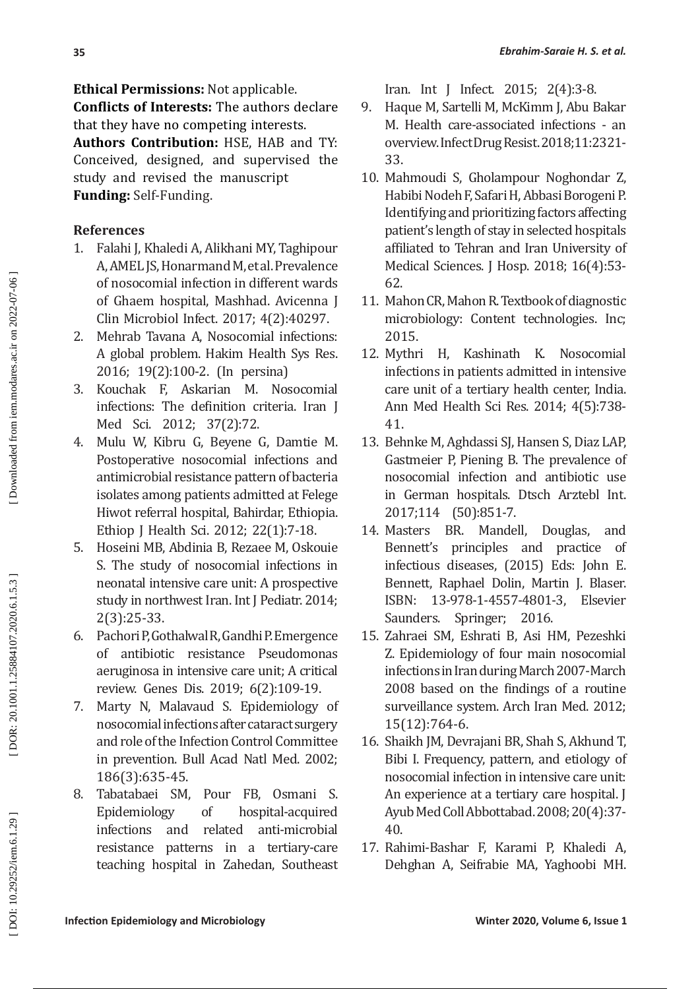**Ethical Permissions:** Not applicable.

**Conflicts of Interests:** The authors declare that they have no competing interests.

**Authors Contribution:** HSE, HAB and TY: Conceived, designed, and supervised the study and revised the manuscript **Funding:** Self-Funding.

# **References**

- 1. Falahi J, Khaledi A, Alikhani MY, Taghipour A, AMEL JS, Honarmand M, et al. Prevalence of nosocomial infection in different wards of Ghaem hospital, Mashhad. Avicenna J Clin Microbiol Infect. 2017; 4(2):40297.
- 2. Mehrab Tavana A, Nosocomial infections: A global problem. Hakim Health Sys Res. 2016; 19(2):100-2. (In persina)
- 3. Kouchak F, Askarian M. Nosocomial infections: The definition criteria. Iran J Med Sci. 2012; 37(2):72.
- 4. Mulu W, Kibru G, Beyene G, Damtie M. Postoperative nosocomial infections and antimicrobial resistance pattern of bacteria isolates among patients admitted at Felege Hiwot referral hospital, Bahirdar, Ethiopia. Ethiop J Health Sci. 2012; 22(1):7-18.
- 5. Hoseini MB, Abdinia B, Rezaee M, Oskouie S. The study of nosocomial infections in neonatal intensive care unit: A prospective study in northwest Iran. Int J Pediatr. 2014; 2(3):25-33.
- 6. Pachori P, Gothalwal R, Gandhi P. Emergence of antibiotic resistance Pseudomonas aeruginosa in intensive care unit; A critical review. Genes Dis. 2019; 6(2):109-19.
- 7. Marty N, Malavaud S. Epidemiology of nosocomial infections after cataract surgery and role of the Infection Control Committee in prevention. Bull Acad Natl Med. 2002; 186(3):635-45.
- 8. Tabatabaei SM, Pour FB, Osmani S. Epidemiology of hospital-acquired<br>infections and related anti-microbial and related anti-microbial resistance patterns in a tertiary-care teaching hospital in Zahedan, Southeast

Iran. Int J Infect. 2015; 2(4):3-8.

- 9. Haque M, Sartelli M, McKimm J, Abu Bakar M. Health care-associated infections - an overview. Infect Drug Resist. 2018;11:2321- 33.
- 10. Mahmoudi S, Gholampour Noghondar Z, Habibi Nodeh F, Safari H, Abbasi Borogeni P. Identifying and prioritizing factors affecting patient's length of stay in selected hospitals affiliated to Tehran and Iran University of Medical Sciences. J Hosp. 2018; 16(4):53- 62.
- 11. Mahon CR, Mahon R. Textbook of diagnostic microbiology: Content technologies. Inc; 2015.<br>12. Mythri
- H, Kashinath K. Nosocomial infections in patients admitted in intensive care unit of a tertiary health center, India. Ann Med Health Sci Res. 2014; 4(5):738- 41.
- 13. Behnke M, Aghdassi SJ, Hansen S, Diaz LAP, Gastmeier P, Piening B. The prevalence of nosocomial infection and antibiotic use in German hospitals. Dtsch Arztebl Int. 2017;114 (50):851-7.
- 14. Masters BR. Mandell, Douglas, and Bennett's principles and practice of infectious diseases, (2015) Eds: John E. Bennett, Raphael Dolin, Martin J. Blaser.<br>ISBN: 13-978-1-4557-4801-3. Elsevier ISBN: 13-978-1-4557-4801-3, Elsevier Saunders. Springer; 2016.
- 15. Zahraei SM, Eshrati B, Asi HM, Pezeshki Z. Epidemiology of four main nosocomial infections in Iran during March 2007-March 2008 based on the findings of a routine surveillance system. Arch Iran Med. 2012; 15(12):764-6.
- 16. Shaikh JM, Devrajani BR, Shah S, Akhund T, Bibi I. Frequency, pattern, and etiology of nosocomial infection in intensive care unit: An experience at a tertiary care hospital. J Ayub Med Coll Abbottabad. 2008; 20(4):37- 40.
- 17. Rahimi-Bashar F, Karami P, Khaledi A, Dehghan A, Seifrabie MA, Yaghoobi MH.